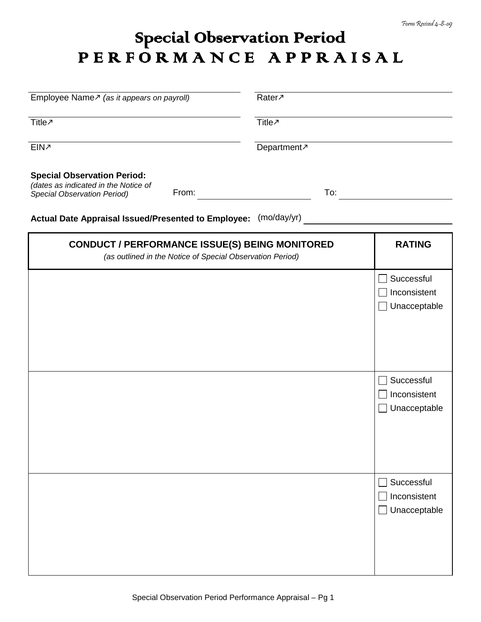## Special Observation Period P E R F O R M A N C E A P P R A I S A L

| Employee Name $\sqrt{ }$ (as it appears on payroll)                                                                | Rater <sub>7</sub>      |     |                                            |
|--------------------------------------------------------------------------------------------------------------------|-------------------------|-----|--------------------------------------------|
| Title <sub>2</sub>                                                                                                 | Title <sub>2</sub>      |     |                                            |
| EIN <sub>2</sub>                                                                                                   | Department <sub>7</sub> |     |                                            |
| <b>Special Observation Period:</b><br>(dates as indicated in the Notice of<br>From:<br>Special Observation Period) |                         | To: |                                            |
| Actual Date Appraisal Issued/Presented to Employee:                                                                | (mo/day/yr)             |     |                                            |
| <b>CONDUCT / PERFORMANCE ISSUE(S) BEING MONITORED</b><br>(as outlined in the Notice of Special Observation Period) |                         |     | <b>RATING</b>                              |
|                                                                                                                    |                         |     | Successful<br>Inconsistent<br>Unacceptable |
|                                                                                                                    |                         |     | Successful<br>Inconsistent<br>Unacceptable |
|                                                                                                                    |                         |     | Successful<br>Inconsistent<br>Unacceptable |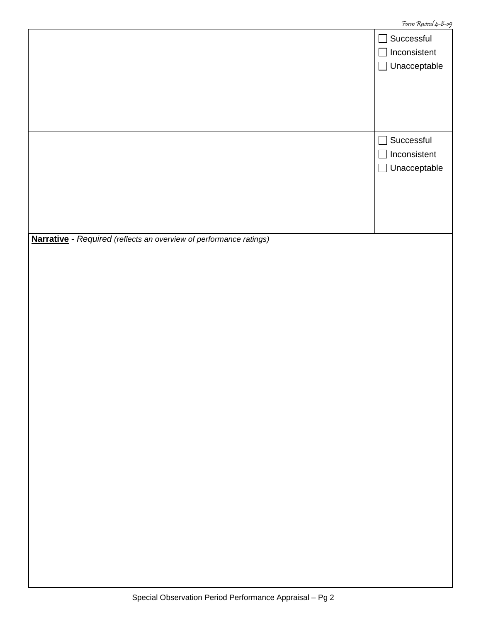|                                                                    | Successful<br>$\mathcal{L}_{\mathcal{A}}$ |
|--------------------------------------------------------------------|-------------------------------------------|
|                                                                    | Inconsistent<br>$\sim$                    |
|                                                                    | Unacceptable<br>$\Box$                    |
|                                                                    |                                           |
|                                                                    |                                           |
|                                                                    |                                           |
|                                                                    |                                           |
|                                                                    | Successful<br>J.                          |
|                                                                    | Inconsistent<br>$\mathbb{R}^2$            |
|                                                                    | Unacceptable<br>$\Box$                    |
|                                                                    |                                           |
|                                                                    |                                           |
|                                                                    |                                           |
|                                                                    |                                           |
| Narrative - Required (reflects an overview of performance ratings) |                                           |
|                                                                    |                                           |
|                                                                    |                                           |
|                                                                    |                                           |
|                                                                    |                                           |
|                                                                    |                                           |
|                                                                    |                                           |
|                                                                    |                                           |
|                                                                    |                                           |
|                                                                    |                                           |
|                                                                    |                                           |
|                                                                    |                                           |
|                                                                    |                                           |
|                                                                    |                                           |
|                                                                    |                                           |
|                                                                    |                                           |
|                                                                    |                                           |
|                                                                    |                                           |
|                                                                    |                                           |
|                                                                    |                                           |
|                                                                    |                                           |
|                                                                    |                                           |
|                                                                    |                                           |
|                                                                    |                                           |
|                                                                    |                                           |
|                                                                    |                                           |